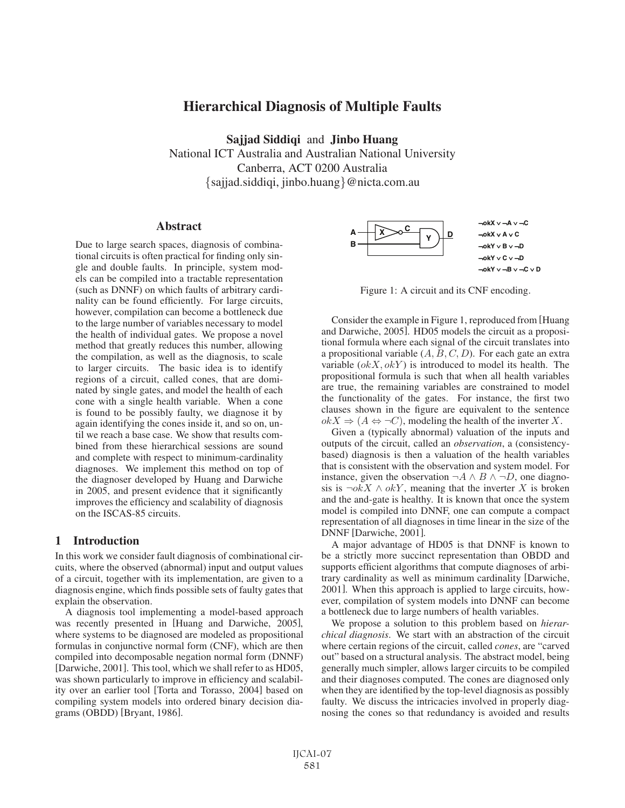# Hierarchical Diagnosis of Multiple Faults

Sajjad Siddiqi and Jinbo Huang National ICT Australia and Australian National University Canberra, ACT 0200 Australia {sajjad.siddiqi, jinbo.huang}@nicta.com.au

### **Abstract**

Due to large search spaces, diagnosis of combinational circuits is often practical for finding only single and double faults. In principle, system models can be compiled into a tractable representation (such as DNNF) on which faults of arbitrary cardinality can be found efficiently. For large circuits, however, compilation can become a bottleneck due to the large number of variables necessary to model the health of individual gates. We propose a novel method that greatly reduces this number, allowing the compilation, as well as the diagnosis, to scale to larger circuits. The basic idea is to identify regions of a circuit, called cones, that are dominated by single gates, and model the health of each cone with a single health variable. When a cone is found to be possibly faulty, we diagnose it by again identifying the cones inside it, and so on, until we reach a base case. We show that results combined from these hierarchical sessions are sound and complete with respect to minimum-cardinality diagnoses. We implement this method on top of the diagnoser developed by Huang and Darwiche in 2005, and present evidence that it significantly improves the efficiency and scalability of diagnosis on the ISCAS-85 circuits.

# 1 Introduction

In this work we consider fault diagnosis of combinational circuits, where the observed (abnormal) input and output values of a circuit, together with its implementation, are given to a diagnosis engine, which finds possible sets of faulty gates that explain the observation.

A diagnosis tool implementing a model-based approach was recently presented in [Huang and Darwiche, 2005], where systems to be diagnosed are modeled as propositional formulas in conjunctive normal form (CNF), which are then compiled into decomposable negation normal form (DNNF) [Darwiche, 2001]. This tool, which we shall refer to as HD05, was shown particularly to improve in efficiency and scalability over an earlier tool [Torta and Torasso, 2004] based on compiling system models into ordered binary decision diagrams (OBDD) [Bryant, 1986].



Figure 1: A circuit and its CNF encoding.

Consider the example in Figure 1, reproduced from [Huang and Darwiche, 2005]. HD05 models the circuit as a propositional formula where each signal of the circuit translates into a propositional variable  $(A, B, C, D)$ . For each gate an extra variable  $(\alpha kX, \alpha kY)$  is introduced to model its health. The propositional formula is such that when all health variables are true, the remaining variables are constrained to model the functionality of the gates. For instance, the first two clauses shown in the figure are equivalent to the sentence  $okX \Rightarrow (A \Leftrightarrow \neg C)$ , modeling the health of the inverter X.

Given a (typically abnormal) valuation of the inputs and outputs of the circuit, called an *observation*, a (consistencybased) diagnosis is then a valuation of the health variables that is consistent with the observation and system model. For instance, given the observation  $\neg A \land B \land \neg D$ , one diagnosis is  $\neg okX \wedge okY$ , meaning that the inverter X is broken and the and-gate is healthy. It is known that once the system model is compiled into DNNF, one can compute a compact representation of all diagnoses in time linear in the size of the DNNF [Darwiche, 2001].

A major advantage of HD05 is that DNNF is known to be a strictly more succinct representation than OBDD and supports efficient algorithms that compute diagnoses of arbitrary cardinality as well as minimum cardinality [Darwiche, 2001]. When this approach is applied to large circuits, however, compilation of system models into DNNF can become a bottleneck due to large numbers of health variables.

We propose a solution to this problem based on *hierarchical diagnosis*. We start with an abstraction of the circuit where certain regions of the circuit, called *cones*, are "carved out" based on a structural analysis. The abstract model, being generally much simpler, allows larger circuits to be compiled and their diagnoses computed. The cones are diagnosed only when they are identified by the top-level diagnosis as possibly faulty. We discuss the intricacies involved in properly diagnosing the cones so that redundancy is avoided and results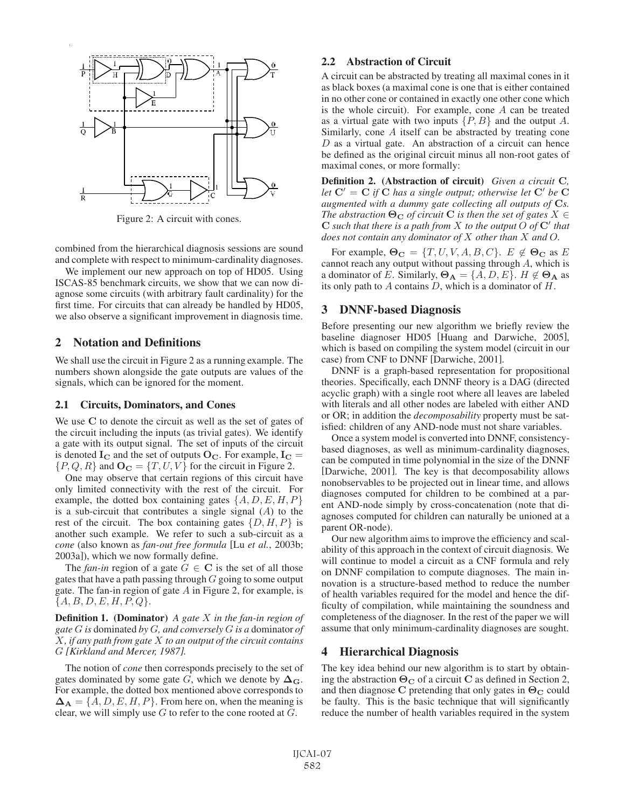

Figure 2: A circuit with cones.

combined from the hierarchical diagnosis sessions are sound and complete with respect to minimum-cardinality diagnoses.

We implement our new approach on top of HD05. Using ISCAS-85 benchmark circuits, we show that we can now diagnose some circuits (with arbitrary fault cardinality) for the first time. For circuits that can already be handled by HD05, we also observe a significant improvement in diagnosis time.

## 2 Notation and Definitions

We shall use the circuit in Figure 2 as a running example. The numbers shown alongside the gate outputs are values of the signals, which can be ignored for the moment.

#### 2.1 Circuits, Dominators, and Cones

We use **C** to denote the circuit as well as the set of gates of the circuit including the inputs (as trivial gates). We identify a gate with its output signal. The set of inputs of the circuit is denoted  $I_C$  and the set of outputs  $O_C$ . For example,  $I_C =$  $\{P, Q, R\}$  and  $\mathbf{O_C} = \{T, U, V\}$  for the circuit in Figure 2.

One may observe that certain regions of this circuit have only limited connectivity with the rest of the circuit. For example, the dotted box containing gates  $\{A, D, E, H, P\}$ is a sub-circuit that contributes a single signal  $(A)$  to the rest of the circuit. The box containing gates  $\{D, H, P\}$  is another such example. We refer to such a sub-circuit as a *cone* (also known as *fan-out free formula* [Lu *et al.*, 2003b; 2003a]), which we now formally define.

The *fan-in* region of a gate  $G \in \mathbb{C}$  is the set of all those gates that have a path passing through  $G$  going to some output gate. The fan-in region of gate  $A$  in Figure 2, for example, is  ${A, B, D, E, H, P, Q}.$ 

Definition 1. (Dominator) *A gate* X *in the fan-in region of gate* G *is* dominated *by* G*, and conversely* G *is a* dominator *of* X*, if any path from gate* X *to an output of the circuit contains* G *[Kirkland and Mercer, 1987].*

The notion of *cone* then corresponds precisely to the set of gates dominated by some gate G, which we denote by  $\Delta$ **G**. For example, the dotted box mentioned above corresponds to  $\Delta_{\bf A} = \{A, D, E, H, P\}$ . From here on, when the meaning is clear, we will simply use  $G$  to refer to the cone rooted at  $G$ .

### 2.2 Abstraction of Circuit

A circuit can be abstracted by treating all maximal cones in it as black boxes (a maximal cone is one that is either contained in no other cone or contained in exactly one other cone which is the whole circuit). For example, cone A can be treated as a virtual gate with two inputs  $\{P, B\}$  and the output A. Similarly, cone A itself can be abstracted by treating cone  $D$  as a virtual gate. An abstraction of a circuit can hence be defined as the original circuit minus all non-root gates of maximal cones, or more formally:

Definition 2. (Abstraction of circuit) *Given a circuit* **C***, let*  $C' = C$  *if*  $\hat{C}$  *has a single output; otherwise let*  $C'$  *be*  $\hat{C}$ *augmented with a dummy gate collecting all outputs of* **C***s. The abstraction*  $\Theta_{\mathbf{C}}$  *of circuit* **C** *is then the set of gates*  $X \in$  $C$  *such that there is a path from*  $X$  *to the output*  $O$  *of*  $C'$  *that does not contain any dominator of* X *other than* X *and* O*.*

For example,  $\Theta_C = \{T, U, V, A, B, C\}$ .  $E \notin \Theta_C$  as E cannot reach any output without passing through A, which is a dominator of E. Similarly,  $\Theta_{\mathbf{A}} = \{A, D, E\}$ .  $H \notin \Theta_{\mathbf{A}}$  as its only path to  $A$  contains  $D$ , which is a dominator of  $H$ .

### 3 DNNF-based Diagnosis

Before presenting our new algorithm we briefly review the baseline diagnoser HD05 [Huang and Darwiche, 2005], which is based on compiling the system model (circuit in our case) from CNF to DNNF [Darwiche, 2001].

DNNF is a graph-based representation for propositional theories. Specifically, each DNNF theory is a DAG (directed acyclic graph) with a single root where all leaves are labeled with literals and all other nodes are labeled with either AND or OR; in addition the *decomposability* property must be satisfied: children of any AND-node must not share variables.

Once a system model is converted into DNNF, consistencybased diagnoses, as well as minimum-cardinality diagnoses, can be computed in time polynomial in the size of the DNNF [Darwiche, 2001]. The key is that decomposability allows nonobservables to be projected out in linear time, and allows diagnoses computed for children to be combined at a parent AND-node simply by cross-concatenation (note that diagnoses computed for children can naturally be unioned at a parent OR-node).

Our new algorithm aims to improve the efficiency and scalability of this approach in the context of circuit diagnosis. We will continue to model a circuit as a CNF formula and rely on DNNF compilation to compute diagnoses. The main innovation is a structure-based method to reduce the number of health variables required for the model and hence the difficulty of compilation, while maintaining the soundness and completeness of the diagnoser. In the rest of the paper we will assume that only minimum-cardinality diagnoses are sought.

### 4 Hierarchical Diagnosis

The key idea behind our new algorithm is to start by obtaining the abstraction  $\Theta_C$  of a circuit **C** as defined in Section 2, and then diagnose **C** pretending that only gates in **Θ<sup>C</sup>** could be faulty. This is the basic technique that will significantly reduce the number of health variables required in the system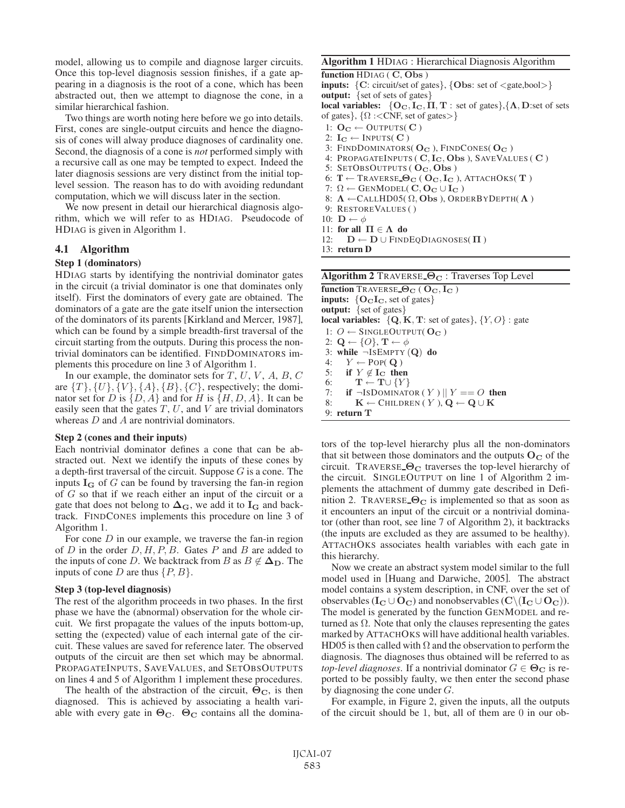model, allowing us to compile and diagnose larger circuits. Once this top-level diagnosis session finishes, if a gate appearing in a diagnosis is the root of a cone, which has been abstracted out, then we attempt to diagnose the cone, in a similar hierarchical fashion.

Two things are worth noting here before we go into details. First, cones are single-output circuits and hence the diagnosis of cones will alway produce diagnoses of cardinality one. Second, the diagnosis of a cone is *not* performed simply with a recursive call as one may be tempted to expect. Indeed the later diagnosis sessions are very distinct from the initial toplevel session. The reason has to do with avoiding redundant computation, which we will discuss later in the section.

We now present in detail our hierarchical diagnosis algorithm, which we will refer to as HDIAG. Pseudocode of HDIAG is given in Algorithm 1.

### 4.1 Algorithm

#### Step 1 (dominators)

HDIAG starts by identifying the nontrivial dominator gates in the circuit (a trivial dominator is one that dominates only itself). First the dominators of every gate are obtained. The dominators of a gate are the gate itself union the intersection of the dominators of its parents [Kirkland and Mercer, 1987], which can be found by a simple breadth-first traversal of the circuit starting from the outputs. During this process the nontrivial dominators can be identified. FINDDOMINATORS implements this procedure on line 3 of Algorithm 1.

In our example, the dominator sets for  $T$ ,  $U$ ,  $V$ ,  $A$ ,  $B$ ,  $C$ are  $\{T\}, \{U\}, \{V\}, \{A\}, \{B\}, \{C\}$ , respectively; the dominator set for D is  $\{D, A\}$  and for H is  $\{H, D, A\}$ . It can be easily seen that the gates  $T$ ,  $U$ , and  $V$  are trivial dominators whereas  $D$  and  $A$  are nontrivial dominators.

#### Step 2 (cones and their inputs)

Each nontrivial dominator defines a cone that can be abstracted out. Next we identify the inputs of these cones by a depth-first traversal of the circuit. Suppose  $G$  is a cone. The inputs  $I_G$  of  $G$  can be found by traversing the fan-in region of G so that if we reach either an input of the circuit or a gate that does not belong to  $\Delta$ **G**, we add it to  $I$ **G** and backtrack. FINDCONES implements this procedure on line 3 of Algorithm 1.

For cone  $D$  in our example, we traverse the fan-in region of  $D$  in the order  $D, H, P, B$ . Gates  $P$  and  $B$  are added to the inputs of cone D. We backtrack from B as  $B \notin \Delta_{\mathbf{D}}$ . The inputs of cone D are thus  $\{P, B\}$ .

#### Step 3 (top-level diagnosis)

The rest of the algorithm proceeds in two phases. In the first phase we have the (abnormal) observation for the whole circuit. We first propagate the values of the inputs bottom-up, setting the (expected) value of each internal gate of the circuit. These values are saved for reference later. The observed outputs of the circuit are then set which may be abnormal. PROPAGATEINPUTS, SAVEVALUES, and SETOBSOUTPUTS on lines 4 and 5 of Algorithm 1 implement these procedures.

The health of the abstraction of the circuit,  $\Theta_{\rm C}$ , is then diagnosed. This is achieved by associating a health variable with every gate in  $\Theta_{\rm C}$ .  $\Theta_{\rm C}$  contains all the domina-

### Algorithm 1 HDIAG : Hierarchical Diagnosis Algorithm

function HDIAG ( **C**, **Obs** ) inputs: {**C**: circuit/set of gates}, {**Obs**: set of <gate,bool>} output: {set of sets of gates} local variables:  $\{O_C, I_C, \Pi, T\}$ : set of gates}, $\{\Lambda, D\text{:set of sets}\}$ of gates},  $\{\Omega : <$ CNF, set of gates $>\}$ 1:  $O_C \leftarrow$  OUTPUTS( C) 2:  $I_{\mathbf{C}} \leftarrow \text{INPUTS}(\mathbf{C})$ 3: FINDDOMINATORS( **O<sup>C</sup>** ), FINDCONES( **O<sup>C</sup>** ) 4: PROPAGATEINPUTS ( **C**, **IC**, **Obs** ), SAVEVALUES ( **C** ) 5: SETOBSOUTPUTS ( **OC**, **Obs** ) 6: T ← TRAVERSE **Θ<sup>C</sup>** ( **OC**, **I<sup>C</sup>** ), ATTACHOKS( **T** ) 7:  $\Omega \leftarrow$  GENMODEL( **C**, **O**<sub>**C**</sub>  $\cup$  **I<sub>C</sub>**) 8: **Λ** ←CALLHD05( Ω, **Obs** ), ORDERBYDEPTH( **Λ** ) 9: RESTOREVALUES ( ) 10:  $\mathbf{D} \leftarrow \phi$ 

- 11: for all **Π** ∈ **Λ** do
- 12:  $\mathbf{D} \leftarrow \mathbf{D} \cup \text{FINDEQDIAGNOSES}(\Pi)$

13: return D

| <b>Algorithm 2</b> TRAVERSE $\Theta_C$ : Traverses Top Level                                   |
|------------------------------------------------------------------------------------------------|
| <b>function</b> TRAVERSE $\Theta_{\text{C}}$ ( $\text{O}_{\text{C}}$ , $\text{I}_{\text{C}}$ ) |
| <b>inputs:</b> ${OCIC$ , set of gates}                                                         |
| <b>output:</b> $\{ set of gates \}$                                                            |
| local variables: $\{Q, K, T\}$ : set of gates}, $\{Y, O\}$ : gate                              |
| 1: $O \leftarrow$ SINGLEOUTPUT( $O_C$ )                                                        |
| 2: $\mathbf{Q} \leftarrow \{O\}, \mathbf{T} \leftarrow \phi$                                   |
| 3: while $\neg$ ISEMPTY (Q) do                                                                 |
| 4: $Y \leftarrow \text{POP}(\mathbf{Q})$                                                       |
| 5: if $Y \notin I_{\mathbf{C}}$ then                                                           |
| 6: $\mathbf{T} \leftarrow \mathbf{T} \cup \{Y\}$                                               |
| 7: if $\neg$ ISDOMINATOR $(Y)$    $Y == O$ then                                                |
| $\mathbf{K} \leftarrow$ CHILDREN (Y), $\mathbf{Q} \leftarrow \mathbf{Q} \cup \mathbf{K}$<br>8: |
| 9: return $T$                                                                                  |

tors of the top-level hierarchy plus all the non-dominators that sit between those dominators and the outputs  $O<sub>C</sub>$  of the circuit. TRAVERSE **Θ<sup>C</sup>** traverses the top-level hierarchy of the circuit. SINGLEOUTPUT on line 1 of Algorithm 2 implements the attachment of dummy gate described in Definition 2. TRAVERSE  $\Theta_{\rm C}$  is implemented so that as soon as it encounters an input of the circuit or a nontrivial dominator (other than root, see line 7 of Algorithm 2), it backtracks (the inputs are excluded as they are assumed to be healthy). ATTACHOKS associates health variables with each gate in this hierarchy.

Now we create an abstract system model similar to the full model used in [Huang and Darwiche, 2005]. The abstract model contains a system description, in CNF, over the set of observables ( $\mathbf{I_C} \cup \mathbf{O_C}$ ) and nonobservables ( $\mathbf{C} \setminus (\mathbf{I_C} \cup \mathbf{O_C})$ ). The model is generated by the function GENMODEL and returned as  $\Omega$ . Note that only the clauses representing the gates marked by ATTACHOKS will have additional health variables. HD05 is then called with  $\Omega$  and the observation to perform the diagnosis. The diagnoses thus obtained will be referred to as *top-level diagnoses*. If a nontrivial dominator  $G \in \mathbf{\Theta}_{\mathbf{C}}$  is reported to be possibly faulty, we then enter the second phase by diagnosing the cone under  $G$ .

For example, in Figure 2, given the inputs, all the outputs of the circuit should be 1, but, all of them are 0 in our ob-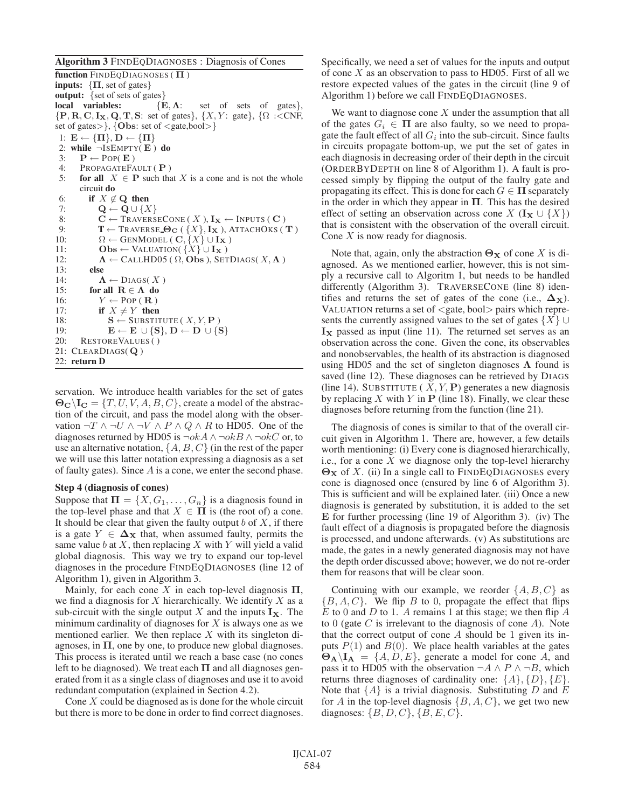#### Algorithm 3 FINDEQDIAGNOSES : Diagnosis of Cones

function FINDEQDIAGNOSES ( **Π** ) **inputs:**  $\{\Pi, \text{ set of gates}\}$ output: {set of sets of gates}<br>local variables: {E,  $\Lambda$ : set of sets of gates},  ${P, R, C, I_X, Q, T, S: set of gates}, \{X, Y: gate\}, \{\Omega : < CNF,$ set of gates>}, {**Obs**: set of <gate,bool>} 1:  $\mathbf{E} \leftarrow {\{\mathbf{\Pi}\}, \mathbf{D} \leftarrow {\{\mathbf{\Pi}\}\}\}$ 2: while ¬ISEMPTY( **E** ) do 3:  $\mathbf{P} \leftarrow \text{POP}(\mathbf{E})$ 4: PROPAGATEFAULT ( **P** ) 5: **for all**  $X \in \mathbf{P}$  such that X is a cone and is not the whole circuit do 6: if  $X \notin \mathbf{Q}$  then 7: **Q** ← **Q** ∪ {X} 8: **C** ← TRAVERSECONE ( X ),  $I_X$  ← INPUTS ( C )<br>9: **T** ← TRAVERSE **O**<sub>C</sub> ( { X },  $I_X$  ), ATTACHOKS (  $\mathbf{T} \leftarrow \text{Traverse\_}\Theta_{\mathbf{C}}$  ( $\{X\}, \mathbf{I_X}$ ), ATTACHOKS ( $\mathbf{T}$ ) 10:  $\Omega \leftarrow \text{GENMODEL}(\mathbf{C}, \{X\} \cup \mathbf{I_X})$ 11: **Obs** ← VALUATION( ${X}$  ∪ **Ix**)<br>12:  $\Lambda$  ← CALLHD05 ( $\Omega$ , **Obs**), SET  $\Lambda \leftarrow$  CALLHD05 (  $\Omega$ , **Obs** ), SETDIAGS(  $X, \Lambda$  ) 13: else 14:  $\Lambda \leftarrow \text{DIAGS}(X)$ 15: **for all R**  $\in \Lambda$  **do** 16:  $Y \leftarrow \text{POP}(\mathbf{R})$ 17: if  $X \neq Y$  then 18:  $\mathbf{S} \leftarrow \text{SUBSTITUTE}(X, Y, \mathbf{P})$ <br>19:  $\mathbf{E} \leftarrow \mathbf{E} \cup \{\mathbf{S}\}, \mathbf{D} \leftarrow \mathbf{D} \cup \{\mathbf{S}\}$  $\mathbf{E} \leftarrow \mathbf{E} \cup \{\mathbf{S}\}, \mathbf{D} \leftarrow \mathbf{D} \cup \{\mathbf{S}\}$ 20: RESTOREVALUES ( ) 21: CLEARDIAGS( **Q** ) 22: return D

servation. We introduce health variables for the set of gates  $\Theta_{\mathbf{C}}\setminus\mathbf{I}_{\mathbf{C}} = \{T, U, V, A, B, C\}$ , create a model of the abstraction of the circuit, and pass the model along with the observation  $\neg T \land \neg U \land \neg V \land P \land Q \land R$  to HD05. One of the diagnoses returned by HD05 is  $\neg okA \land \neg okB \land \neg okC$  or, to use an alternative notation,  $\{A, B, C\}$  (in the rest of the paper we will use this latter notation expressing a diagnosis as a set of faulty gates). Since  $A$  is a cone, we enter the second phase.

#### Step 4 (diagnosis of cones)

Suppose that  $\Pi = \{X, G_1, \ldots, G_n\}$  is a diagnosis found in the top-level phase and that  $X \in \Pi$  is (the root of) a cone. It should be clear that given the faulty output  $b$  of  $X$ , if there is a gate  $Y \in \Delta_X$  that, when assumed faulty, permits the same value  $b$  at  $X$ , then replacing  $X$  with  $Y$  will yield a valid global diagnosis. This way we try to expand our top-level diagnoses in the procedure FINDEQDIAGNOSES (line 12 of Algorithm 1), given in Algorithm 3.

Mainly, for each cone X in each top-level diagnosis  $\Pi$ , we find a diagnosis for  $X$  hierarchically. We identify  $X$  as a sub-circuit with the single output X and the inputs  $\mathbf{I}_\mathbf{X}$ . The minimum cardinality of diagnoses for  $X$  is always one as we mentioned earlier. We then replace  $X$  with its singleton diagnoses, in  $\Pi$ , one by one, to produce new global diagnoses. This process is iterated until we reach a base case (no cones left to be diagnosed). We treat each  $\Pi$  and all diagnoses generated from it as a single class of diagnoses and use it to avoid redundant computation (explained in Section 4.2).

Cone X could be diagnosed as is done for the whole circuit but there is more to be done in order to find correct diagnoses.

Specifically, we need a set of values for the inputs and output of cone  $X$  as an observation to pass to HD05. First of all we restore expected values of the gates in the circuit (line 9 of Algorithm 1) before we call FINDEQDIAGNOSES.

We want to diagnose cone  $X$  under the assumption that all of the gates  $G_i \in \Pi$  are also faulty, so we need to propagate the fault effect of all  $G_i$  into the sub-circuit. Since faults in circuits propagate bottom-up, we put the set of gates in each diagnosis in decreasing order of their depth in the circuit (ORDERBYDEPTH on line 8 of Algorithm 1). A fault is processed simply by flipping the output of the faulty gate and propagating its effect. This is done for each  $G \in \Pi$  separately in the order in which they appear in  $\Pi$ . This has the desired effect of setting an observation across cone  $X$  ( $\mathbf{I}_{\mathbf{X}} \cup \{X\}$ ) that is consistent with the observation of the overall circuit. Cone  $X$  is now ready for diagnosis.

Note that, again, only the abstraction  $\Theta_{\mathbf{X}}$  of cone X is diagnosed. As we mentioned earlier, however, this is not simply a recursive call to Algoritm 1, but needs to be handled differently (Algorithm 3). TRAVERSECONE (line 8) identifies and returns the set of gates of the cone (i.e.,  $\Delta$ **X**). VALUATION returns a set of <gate, bool> pairs which represents the currently assigned values to the set of gates  $\{X\}$  ∪  $\mathbf{I}_{\mathbf{X}}$  passed as input (line 11). The returned set serves as an observation across the cone. Given the cone, its observables and nonobservables, the health of its abstraction is diagnosed using HD05 and the set of singleton diagnoses **Λ** found is saved (line 12). These diagnoses can be retrieved by DIAGS (line 14). SUBSTITUTE  $(X, Y, P)$  generates a new diagnosis by replacing  $X$  with  $Y$  in  $P$  (line 18). Finally, we clear these diagnoses before returning from the function (line 21).

The diagnosis of cones is similar to that of the overall circuit given in Algorithm 1. There are, however, a few details worth mentioning: (i) Every cone is diagnosed hierarchically, i.e., for a cone  $X$  we diagnose only the top-level hierarchy **Θ<sup>X</sup>** of X. (ii) In a single call to FINDEQDIAGNOSES every cone is diagnosed once (ensured by line 6 of Algorithm 3). This is sufficient and will be explained later. (iii) Once a new diagnosis is generated by substitution, it is added to the set **E** for further processing (line 19 of Algorithm 3). (iv) The fault effect of a diagnosis is propagated before the diagnosis is processed, and undone afterwards. (v) As substitutions are made, the gates in a newly generated diagnosis may not have the depth order discussed above; however, we do not re-order them for reasons that will be clear soon.

Continuing with our example, we reorder  $\{A, B, C\}$  as  ${B, A, C}$ . We flip B to 0, propagate the effect that flips  $E$  to 0 and  $D$  to 1. A remains 1 at this stage; we then flip  $\overline{A}$ to  $0$  (gate  $C$  is irrelevant to the diagnosis of cone  $A$ ). Note that the correct output of cone  $A$  should be 1 given its inputs  $P(1)$  and  $B(0)$ . We place health variables at the gates  $\Theta_{\bf A} \backslash I_{\bf A} = \{A, D, E\}$ , generate a model for cone A, and pass it to HD05 with the observation  $\neg A \land P \land \neg B$ , which returns three diagnoses of cardinality one:  $\{A\}, \{D\}, \{E\}.$ Note that  $\{A\}$  is a trivial diagnosis. Substituting D and E for A in the top-level diagnosis  $\{B, A, C\}$ , we get two new diagnoses:  $\{B, D, C\}, \{B, E, C\}.$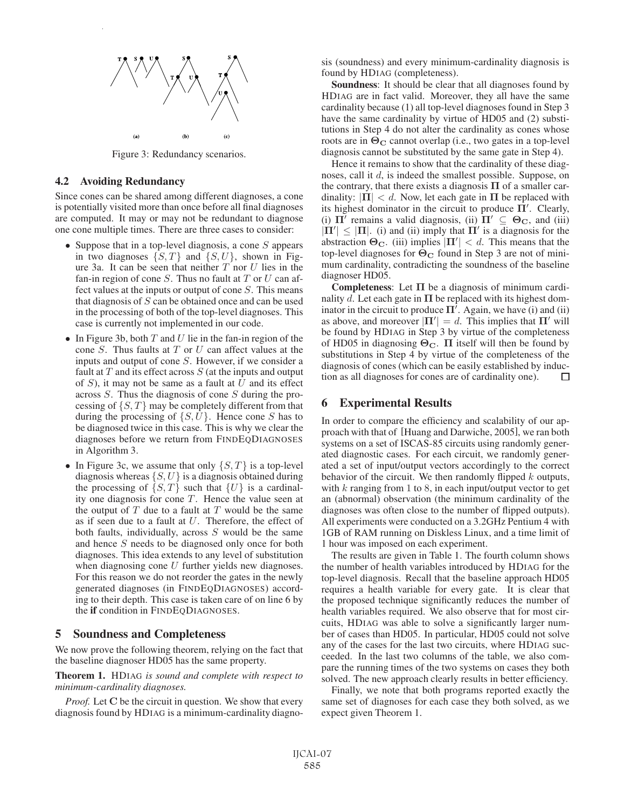

Figure 3: Redundancy scenarios.

#### 4.2 Avoiding Redundancy

Since cones can be shared among different diagnoses, a cone is potentially visited more than once before all final diagnoses are computed. It may or may not be redundant to diagnose one cone multiple times. There are three cases to consider:

- Suppose that in a top-level diagnosis, a cone  $S$  appears in two diagnoses  $\{S, T\}$  and  $\{S, U\}$ , shown in Figure 3a. It can be seen that neither  $T$  nor  $U$  lies in the fan-in region of cone  $S$ . Thus no fault at  $T$  or  $U$  can affect values at the inputs or output of cone S. This means that diagnosis of  $S$  can be obtained once and can be used in the processing of both of the top-level diagnoses. This case is currently not implemented in our code.
- In Figure 3b, both  $T$  and  $U$  lie in the fan-in region of the cone S. Thus faults at  $T$  or  $U$  can affect values at the inputs and output of cone S. However, if we consider a fault at  $T$  and its effect across  $S$  (at the inputs and output of  $S$ ), it may not be same as a fault at  $U$  and its effect across S. Thus the diagnosis of cone S during the processing of  $\{S, T\}$  may be completely different from that during the processing of  $\{S, U\}$ . Hence cone S has to be diagnosed twice in this case. This is why we clear the diagnoses before we return from FINDEQDIAGNOSES in Algorithm 3.
- In Figure 3c, we assume that only  $\{S, T\}$  is a top-level diagnosis whereas  $\{S, U\}$  is a diagnosis obtained during the processing of  $\{S, T\}$  such that  $\{U\}$  is a cardinality one diagnosis for cone  $T$ . Hence the value seen at the output of  $T$  due to a fault at  $T$  would be the same as if seen due to a fault at  $U$ . Therefore, the effect of both faults, individually, across  $S$  would be the same and hence S needs to be diagnosed only once for both diagnoses. This idea extends to any level of substitution when diagnosing cone  $U$  further yields new diagnoses. For this reason we do not reorder the gates in the newly generated diagnoses (in FINDEQDIAGNOSES) according to their depth. This case is taken care of on line 6 by the if condition in FINDEQDIAGNOSES.

## 5 Soundness and Completeness

We now prove the following theorem, relying on the fact that the baseline diagnoser HD05 has the same property.

Theorem 1. HDIAG *is sound and complete with respect to minimum-cardinality diagnoses.*

*Proof.* Let **C** be the circuit in question. We show that every diagnosis found by HDIAG is a minimum-cardinality diagnosis (soundness) and every minimum-cardinality diagnosis is found by HDIAG (completeness).

Soundness: It should be clear that all diagnoses found by HDIAG are in fact valid. Moreover, they all have the same cardinality because (1) all top-level diagnoses found in Step 3 have the same cardinality by virtue of HD05 and (2) substitutions in Step 4 do not alter the cardinality as cones whose roots are in **Θ<sup>C</sup>** cannot overlap (i.e., two gates in a top-level diagnosis cannot be substituted by the same gate in Step 4).

Hence it remains to show that the cardinality of these diagnoses, call it d, is indeed the smallest possible. Suppose, on the contrary, that there exists a diagnosis  $\Pi$  of a smaller cardinality:  $|\Pi| < d$ . Now, let each gate in  $\Pi$  be replaced with its highest dominator in the circuit to produce  $\Pi'$ . Clearly, (i)  $\Pi'$  remains a valid diagnosis, (ii)  $\Pi' \subseteq \Theta_C$ , and (iii)  $|\Pi'| \leq |\Pi|$ . (i) and (ii) imply that  $\Pi'$  is a diagnosis for the abstraction  $\Theta_{\mathbf{C}}$ . (iii) implies  $|\mathbf{\Pi}'| < d$ . This means that the top-level diagnoses for **Θ<sup>C</sup>** found in Step 3 are not of minimum cardinality, contradicting the soundness of the baseline diagnoser HD05.

Completeness: Let **Π** be a diagnosis of minimum cardinality d. Let each gate in  $\Pi$  be replaced with its highest dominator in the circuit to produce  $\Pi'$ . Again, we have (i) and (ii) as above, and moreover  $|\Pi'| = d$ . This implies that  $\Pi'$  will be found by HDIAG in Step 3 by virtue of the completeness of HD05 in diagnosing **ΘC**. **Π** itself will then be found by substitutions in Step 4 by virtue of the completeness of the diagnosis of cones (which can be easily established by induction as all diagnoses for cones are of cardinality one). П

## 6 Experimental Results

In order to compare the efficiency and scalability of our approach with that of [Huang and Darwiche, 2005], we ran both systems on a set of ISCAS-85 circuits using randomly generated diagnostic cases. For each circuit, we randomly generated a set of input/output vectors accordingly to the correct behavior of the circuit. We then randomly flipped  $k$  outputs, with  $k$  ranging from 1 to 8, in each input/output vector to get an (abnormal) observation (the minimum cardinality of the diagnoses was often close to the number of flipped outputs). All experiments were conducted on a 3.2GHz Pentium 4 with 1GB of RAM running on Diskless Linux, and a time limit of 1 hour was imposed on each experiment.

The results are given in Table 1. The fourth column shows the number of health variables introduced by HDIAG for the top-level diagnosis. Recall that the baseline approach HD05 requires a health variable for every gate. It is clear that the proposed technique significantly reduces the number of health variables required. We also observe that for most circuits, HDIAG was able to solve a significantly larger number of cases than HD05. In particular, HD05 could not solve any of the cases for the last two circuits, where HDIAG succeeded. In the last two columns of the table, we also compare the running times of the two systems on cases they both solved. The new approach clearly results in better efficiency.

Finally, we note that both programs reported exactly the same set of diagnoses for each case they both solved, as we expect given Theorem 1.